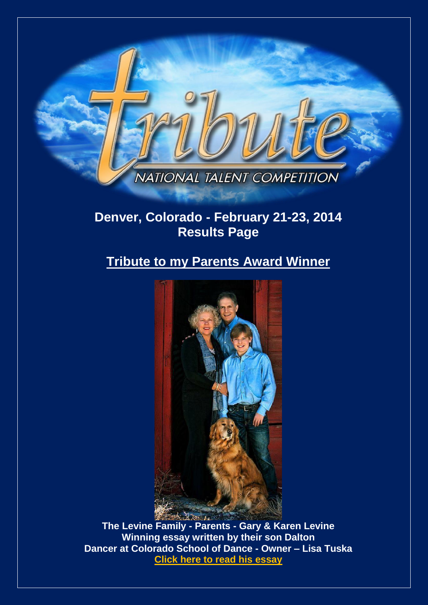

# **Denver, Colorado - February 21-23, 2014 Results Page**

# **Tribute to my Parents Award Winner**



**The Levine Family - Parents - Gary & Karen Levine Winning essay written by their son Dalton Dancer at Colorado School of Dance - Owner – Lisa Tusk[a](http://www.tributetodance.com/2014/essays/denveressay.pdf) [Click here to read](http://www.tributetodance.com/2014/essays/denveressay.pdf) his essay**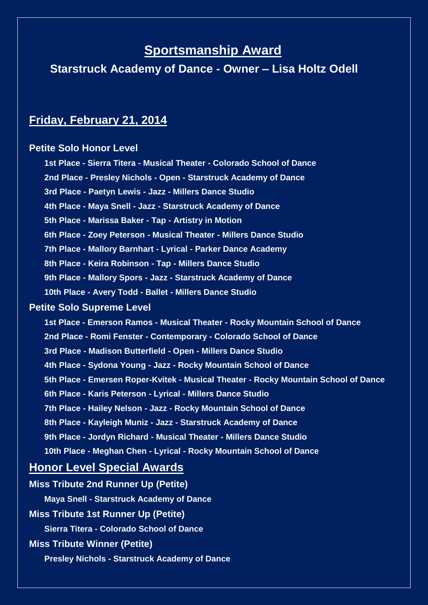# **Sportsmanship Award**

**Starstruck Academy of Dance - Owner – Lisa Holtz Odell**

## **Friday, February 21, 2014**

## **Petite Solo Honor Level**

**1st Place - Sierra Titera - Musical Theater - Colorado School of Dance 2nd Place - Presley Nichols - Open - Starstruck Academy of Dance 3rd Place - Paetyn Lewis - Jazz - Millers Dance Studio 4th Place - Maya Snell - Jazz - Starstruck Academy of Dance 5th Place - Marissa Baker - Tap - Artistry in Motion 6th Place - Zoey Peterson - Musical Theater - Millers Dance Studio 7th Place - Mallory Barnhart - Lyrical - Parker Dance Academy 8th Place - Keira Robinson - Tap - Millers Dance Studio 9th Place - Mallory Spors - Jazz - Starstruck Academy of Dance 10th Place - Avery Todd - Ballet - Millers Dance Studio Petite Solo Supreme Level 1st Place - Emerson Ramos - Musical Theater - Rocky Mountain School of Dance 2nd Place - Romi Fenster - Contemporary - Colorado School of Dance 3rd Place - Madison Butterfield - Open - Millers Dance Studio 4th Place - Sydona Young - Jazz - Rocky Mountain School of Dance 5th Place - Emersen Roper-Kvitek - Musical Theater - Rocky Mountain School of Dance 6th Place - Karis Peterson - Lyrical - Millers Dance Studio 7th Place - Hailey Nelson - Jazz - Rocky Mountain School of Dance 8th Place - Kayleigh Muniz - Jazz - Starstruck Academy of Dance 9th Place - Jordyn Richard - Musical Theater - Millers Dance Studio 10th Place - Meghan Chen - Lyrical - Rocky Mountain School of Dance**

## **Honor Level Special Awards**

**Miss Tribute 2nd Runner Up (Petite) Maya Snell - Starstruck Academy of Dance Miss Tribute 1st Runner Up (Petite) Sierra Titera - Colorado School of Dance Miss Tribute Winner (Petite) Presley Nichols - Starstruck Academy of Dance**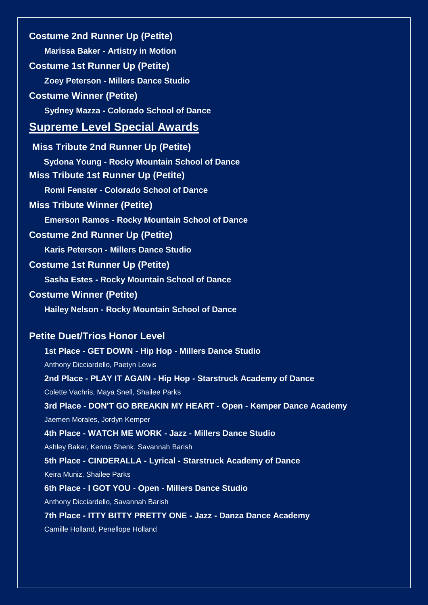**Costume 2nd Runner Up (Petite) Marissa Baker - Artistry in Motion Costume 1st Runner Up (Petite) Zoey Peterson - Millers Dance Studio Costume Winner (Petite) Sydney Mazza - Colorado School of Dance Supreme Level Special Awards Miss Tribute 2nd Runner Up (Petite) Sydona Young - Rocky Mountain School of Dance Miss Tribute 1st Runner Up (Petite) Romi Fenster - Colorado School of Dance Miss Tribute Winner (Petite) Emerson Ramos - Rocky Mountain School of Dance Costume 2nd Runner Up (Petite) Karis Peterson - Millers Dance Studio Costume 1st Runner Up (Petite) Sasha Estes - Rocky Mountain School of Dance Costume Winner (Petite) Hailey Nelson - Rocky Mountain School of Dance Petite Duet/Trios Honor Level 1st Place - GET DOWN - Hip Hop - Millers Dance Studio** Anthony Dicciardello, Paetyn Lewis **2nd Place - PLAY IT AGAIN - Hip Hop - Starstruck Academy of Dance** Colette Vachris, Maya Snell, Shailee Parks **3rd Place - DON'T GO BREAKIN MY HEART - Open - Kemper Dance Academy** Jaemen Morales, Jordyn Kemper **4th Place - WATCH ME WORK - Jazz - Millers Dance Studio** Ashley Baker, Kenna Shenk, Savannah Barish **5th Place - CINDERALLA - Lyrical - Starstruck Academy of Dance** Keira Muniz, Shailee Parks **6th Place - I GOT YOU - Open - Millers Dance Studio**

Anthony Dicciardello, Savannah Barish

**7th Place - ITTY BITTY PRETTY ONE - Jazz - Danza Dance Academy**

Camille Holland, Penellope Holland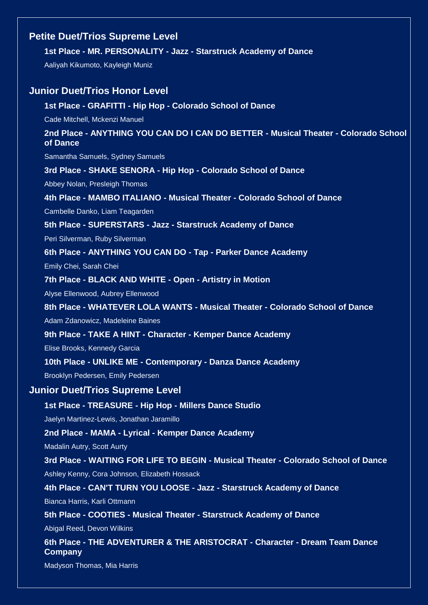## **Petite Duet/Trios Supreme Level**

#### **1st Place - MR. PERSONALITY - Jazz - Starstruck Academy of Dance**

Aaliyah Kikumoto, Kayleigh Muniz

### **Junior Duet/Trios Honor Level**

#### **1st Place - GRAFITTI - Hip Hop - Colorado School of Dance**

Cade Mitchell, Mckenzi Manuel

**2nd Place - ANYTHING YOU CAN DO I CAN DO BETTER - Musical Theater - Colorado School of Dance**

Samantha Samuels, Sydney Samuels

**3rd Place - SHAKE SENORA - Hip Hop - Colorado School of Dance**

Abbey Nolan, Presleigh Thomas

**4th Place - MAMBO ITALIANO - Musical Theater - Colorado School of Dance**

Cambelle Danko, Liam Teagarden

**5th Place - SUPERSTARS - Jazz - Starstruck Academy of Dance**

Peri Silverman, Ruby Silverman

**6th Place - ANYTHING YOU CAN DO - Tap - Parker Dance Academy**

Emily Chei, Sarah Chei

**7th Place - BLACK AND WHITE - Open - Artistry in Motion**

Alyse Ellenwood, Aubrey Ellenwood

#### **8th Place - WHATEVER LOLA WANTS - Musical Theater - Colorado School of Dance**

Adam Zdanowicz, Madeleine Baines

**9th Place - TAKE A HINT - Character - Kemper Dance Academy**

Elise Brooks, Kennedy Garcia

#### **10th Place - UNLIKE ME - Contemporary - Danza Dance Academy**

Brooklyn Pedersen, Emily Pedersen

#### **Junior Duet/Trios Supreme Level**

#### **1st Place - TREASURE - Hip Hop - Millers Dance Studio**

Jaelyn Martinez-Lewis, Jonathan Jaramillo

#### **2nd Place - MAMA - Lyrical - Kemper Dance Academy**

Madalin Autry, Scott Aurty

**3rd Place - WAITING FOR LIFE TO BEGIN - Musical Theater - Colorado School of Dance** Ashley Kenny, Cora Johnson, Elizabeth Hossack

**4th Place - CAN'T TURN YOU LOOSE - Jazz - Starstruck Academy of Dance**

Bianca Harris, Karli Ottmann

**5th Place - COOTIES - Musical Theater - Starstruck Academy of Dance**

Abigal Reed, Devon Wilkins

**6th Place - THE ADVENTURER & THE ARISTOCRAT - Character - Dream Team Dance Company**

Madyson Thomas, Mia Harris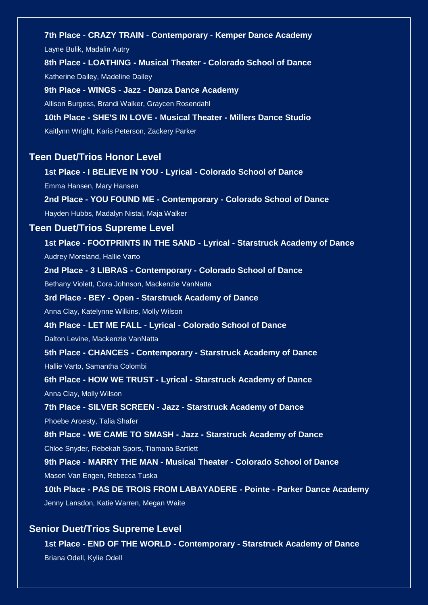**7th Place - CRAZY TRAIN - Contemporary - Kemper Dance Academy** Layne Bulik, Madalin Autry

**8th Place - LOATHING - Musical Theater - Colorado School of Dance** Katherine Dailey, Madeline Dailey

**9th Place - WINGS - Jazz - Danza Dance Academy** Allison Burgess, Brandi Walker, Graycen Rosendahl **10th Place - SHE'S IN LOVE - Musical Theater - Millers Dance Studio**

Kaitlynn Wright, Karis Peterson, Zackery Parker

### **Teen Duet/Trios Honor Level**

**1st Place - I BELIEVE IN YOU - Lyrical - Colorado School of Dance** Emma Hansen, Mary Hansen **2nd Place - YOU FOUND ME - Contemporary - Colorado School of Dance** Hayden Hubbs, Madalyn Nistal, Maja Walker **Teen Duet/Trios Supreme Level 1st Place - FOOTPRINTS IN THE SAND - Lyrical - Starstruck Academy of Dance** Audrey Moreland, Hallie Varto **2nd Place - 3 LIBRAS - Contemporary - Colorado School of Dance** Bethany Violett, Cora Johnson, Mackenzie VanNatta **3rd Place - BEY - Open - Starstruck Academy of Dance** Anna Clay, Katelynne Wilkins, Molly Wilson **4th Place - LET ME FALL - Lyrical - Colorado School of Dance** Dalton Levine, Mackenzie VanNatta **5th Place - CHANCES - Contemporary - Starstruck Academy of Dance** Hallie Varto, Samantha Colombi **6th Place - HOW WE TRUST - Lyrical - Starstruck Academy of Dance** Anna Clay, Molly Wilson **7th Place - SILVER SCREEN - Jazz - Starstruck Academy of Dance** Phoebe Aroesty, Talia Shafer **8th Place - WE CAME TO SMASH - Jazz - Starstruck Academy of Dance** Chloe Snyder, Rebekah Spors, Tiamana Bartlett **9th Place - MARRY THE MAN - Musical Theater - Colorado School of Dance** Mason Van Engen, Rebecca Tuska **10th Place - PAS DE TROIS FROM LABAYADERE - Pointe - Parker Dance Academy** Jenny Lansdon, Katie Warren, Megan Waite

### **Senior Duet/Trios Supreme Level**

**1st Place - END OF THE WORLD - Contemporary - Starstruck Academy of Dance** Briana Odell, Kylie Odell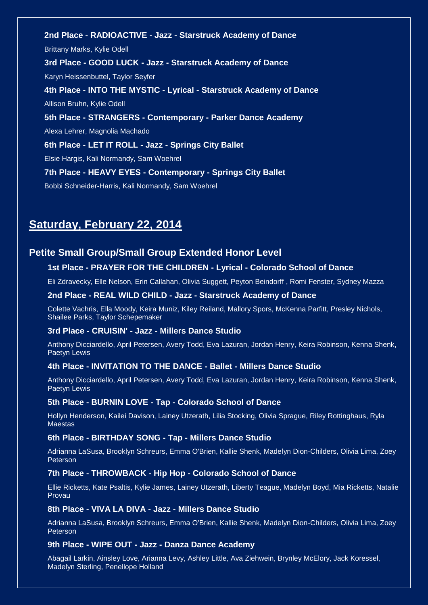**2nd Place - RADIOACTIVE - Jazz - Starstruck Academy of Dance** Brittany Marks, Kylie Odell **3rd Place - GOOD LUCK - Jazz - Starstruck Academy of Dance** Karyn Heissenbuttel, Taylor Seyfer **4th Place - INTO THE MYSTIC - Lyrical - Starstruck Academy of Dance** Allison Bruhn, Kylie Odell **5th Place - STRANGERS - Contemporary - Parker Dance Academy** Alexa Lehrer, Magnolia Machado **6th Place - LET IT ROLL - Jazz - Springs City Ballet** Elsie Hargis, Kali Normandy, Sam Woehrel **7th Place - HEAVY EYES - Contemporary - Springs City Ballet** Bobbi Schneider-Harris, Kali Normandy, Sam Woehrel

# **Saturday, February 22, 2014**

### **Petite Small Group/Small Group Extended Honor Level**

#### **1st Place - PRAYER FOR THE CHILDREN - Lyrical - Colorado School of Dance**

Eli Zdravecky, Elle Nelson, Erin Callahan, Olivia Suggett, Peyton Beindorff , Romi Fenster, Sydney Mazza

#### **2nd Place - REAL WILD CHILD - Jazz - Starstruck Academy of Dance**

Colette Vachris, Ella Moody, Keira Muniz, Kiley Reiland, Mallory Spors, McKenna Parfitt, Presley Nichols, Shailee Parks, Taylor Schepemaker

#### **3rd Place - CRUISIN' - Jazz - Millers Dance Studio**

Anthony Dicciardello, April Petersen, Avery Todd, Eva Lazuran, Jordan Henry, Keira Robinson, Kenna Shenk, Paetyn Lewis

#### **4th Place - INVITATION TO THE DANCE - Ballet - Millers Dance Studio**

Anthony Dicciardello, April Petersen, Avery Todd, Eva Lazuran, Jordan Henry, Keira Robinson, Kenna Shenk, Paetyn Lewis

#### **5th Place - BURNIN LOVE - Tap - Colorado School of Dance**

Hollyn Henderson, Kailei Davison, Lainey Utzerath, Lilia Stocking, Olivia Sprague, Riley Rottinghaus, Ryla Maestas

#### **6th Place - BIRTHDAY SONG - Tap - Millers Dance Studio**

Adrianna LaSusa, Brooklyn Schreurs, Emma O'Brien, Kallie Shenk, Madelyn Dion-Childers, Olivia Lima, Zoey Peterson

#### **7th Place - THROWBACK - Hip Hop - Colorado School of Dance**

Ellie Ricketts, Kate Psaltis, Kylie James, Lainey Utzerath, Liberty Teague, Madelyn Boyd, Mia Ricketts, Natalie Provau

#### **8th Place - VIVA LA DIVA - Jazz - Millers Dance Studio**

Adrianna LaSusa, Brooklyn Schreurs, Emma O'Brien, Kallie Shenk, Madelyn Dion-Childers, Olivia Lima, Zoey Peterson

#### **9th Place - WIPE OUT - Jazz - Danza Dance Academy**

Abagail Larkin, Ainsley Love, Arianna Levy, Ashley Little, Ava Ziehwein, Brynley McElory, Jack Koressel, Madelyn Sterling, Penellope Holland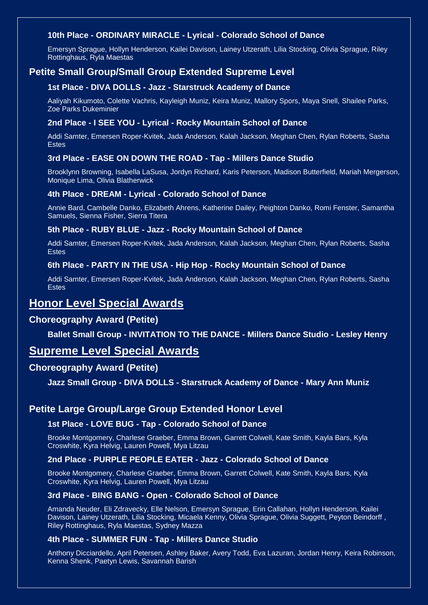### **10th Place - ORDINARY MIRACLE - Lyrical - Colorado School of Dance**

Emersyn Sprague, Hollyn Henderson, Kailei Davison, Lainey Utzerath, Lilia Stocking, Olivia Sprague, Riley Rottinghaus, Ryla Maestas

## **Petite Small Group/Small Group Extended Supreme Level**

#### **1st Place - DIVA DOLLS - Jazz - Starstruck Academy of Dance**

Aaliyah Kikumoto, Colette Vachris, Kayleigh Muniz, Keira Muniz, Mallory Spors, Maya Snell, Shailee Parks, Zoe Parks Dukeminier

#### **2nd Place - I SEE YOU - Lyrical - Rocky Mountain School of Dance**

Addi Samter, Emersen Roper-Kvitek, Jada Anderson, Kalah Jackson, Meghan Chen, Rylan Roberts, Sasha Estes

#### **3rd Place - EASE ON DOWN THE ROAD - Tap - Millers Dance Studio**

Brooklynn Browning, Isabella LaSusa, Jordyn Richard, Karis Peterson, Madison Butterfield, Mariah Mergerson, Monique Lima, Olivia Blatherwick

#### **4th Place - DREAM - Lyrical - Colorado School of Dance**

Annie Bard, Cambelle Danko, Elizabeth Ahrens, Katherine Dailey, Peighton Danko, Romi Fenster, Samantha Samuels, Sienna Fisher, Sierra Titera

#### **5th Place - RUBY BLUE - Jazz - Rocky Mountain School of Dance**

Addi Samter, Emersen Roper-Kvitek, Jada Anderson, Kalah Jackson, Meghan Chen, Rylan Roberts, Sasha Estes

#### **6th Place - PARTY IN THE USA - Hip Hop - Rocky Mountain School of Dance**

Addi Samter, Emersen Roper-Kvitek, Jada Anderson, Kalah Jackson, Meghan Chen, Rylan Roberts, Sasha Estes

## **Honor Level Special Awards**

### **Choreography Award (Petite)**

#### **Ballet Small Group - INVITATION TO THE DANCE - Millers Dance Studio - Lesley Henry**

## **Supreme Level Special Awards**

### **Choreography Award (Petite)**

**Jazz Small Group - DIVA DOLLS - Starstruck Academy of Dance - Mary Ann Muniz**

### **Petite Large Group/Large Group Extended Honor Level**

#### **1st Place - LOVE BUG - Tap - Colorado School of Dance**

Brooke Montgomery, Charlese Graeber, Emma Brown, Garrett Colwell, Kate Smith, Kayla Bars, Kyla Croswhite, Kyra Helvig, Lauren Powell, Mya Litzau

#### **2nd Place - PURPLE PEOPLE EATER - Jazz - Colorado School of Dance**

Brooke Montgomery, Charlese Graeber, Emma Brown, Garrett Colwell, Kate Smith, Kayla Bars, Kyla Croswhite, Kyra Helvig, Lauren Powell, Mya Litzau

#### **3rd Place - BING BANG - Open - Colorado School of Dance**

Amanda Neuder, Eli Zdravecky, Elle Nelson, Emersyn Sprague, Erin Callahan, Hollyn Henderson, Kailei Davison, Lainey Utzerath, Lilia Stocking, Micaela Kenny, Olivia Sprague, Olivia Suggett, Peyton Beindorff , Riley Rottinghaus, Ryla Maestas, Sydney Mazza

#### **4th Place - SUMMER FUN - Tap - Millers Dance Studio**

Anthony Dicciardello, April Petersen, Ashley Baker, Avery Todd, Eva Lazuran, Jordan Henry, Keira Robinson, Kenna Shenk, Paetyn Lewis, Savannah Barish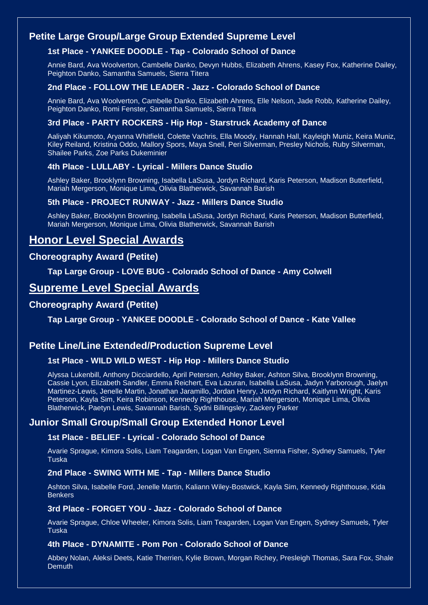## **Petite Large Group/Large Group Extended Supreme Level**

### **1st Place - YANKEE DOODLE - Tap - Colorado School of Dance**

Annie Bard, Ava Woolverton, Cambelle Danko, Devyn Hubbs, Elizabeth Ahrens, Kasey Fox, Katherine Dailey, Peighton Danko, Samantha Samuels, Sierra Titera

#### **2nd Place - FOLLOW THE LEADER - Jazz - Colorado School of Dance**

Annie Bard, Ava Woolverton, Cambelle Danko, Elizabeth Ahrens, Elle Nelson, Jade Robb, Katherine Dailey, Peighton Danko, Romi Fenster, Samantha Samuels, Sierra Titera

#### **3rd Place - PARTY ROCKERS - Hip Hop - Starstruck Academy of Dance**

Aaliyah Kikumoto, Aryanna Whitfield, Colette Vachris, Ella Moody, Hannah Hall, Kayleigh Muniz, Keira Muniz, Kiley Reiland, Kristina Oddo, Mallory Spors, Maya Snell, Peri Silverman, Presley Nichols, Ruby Silverman, Shailee Parks, Zoe Parks Dukeminier

#### **4th Place - LULLABY - Lyrical - Millers Dance Studio**

Ashley Baker, Brooklynn Browning, Isabella LaSusa, Jordyn Richard, Karis Peterson, Madison Butterfield, Mariah Mergerson, Monique Lima, Olivia Blatherwick, Savannah Barish

#### **5th Place - PROJECT RUNWAY - Jazz - Millers Dance Studio**

Ashley Baker, Brooklynn Browning, Isabella LaSusa, Jordyn Richard, Karis Peterson, Madison Butterfield, Mariah Mergerson, Monique Lima, Olivia Blatherwick, Savannah Barish

## **Honor Level Special Awards**

### **Choreography Award (Petite)**

**Tap Large Group - LOVE BUG - Colorado School of Dance - Amy Colwell**

## **Supreme Level Special Awards**

### **Choreography Award (Petite)**

**Tap Large Group - YANKEE DOODLE - Colorado School of Dance - Kate Vallee**

### **Petite Line/Line Extended/Production Supreme Level**

#### **1st Place - WILD WILD WEST - Hip Hop - Millers Dance Studio**

Alyssa Lukenbill, Anthony Dicciardello, April Petersen, Ashley Baker, Ashton Silva, Brooklynn Browning, Cassie Lyon, Elizabeth Sandler, Emma Reichert, Eva Lazuran, Isabella LaSusa, Jadyn Yarborough, Jaelyn Martinez-Lewis, Jenelle Martin, Jonathan Jaramillo, Jordan Henry, Jordyn Richard, Kaitlynn Wright, Karis Peterson, Kayla Sim, Keira Robinson, Kennedy Righthouse, Mariah Mergerson, Monique Lima, Olivia Blatherwick, Paetyn Lewis, Savannah Barish, Sydni Billingsley, Zackery Parker

### **Junior Small Group/Small Group Extended Honor Level**

#### **1st Place - BELIEF - Lyrical - Colorado School of Dance**

Avarie Sprague, Kimora Solis, Liam Teagarden, Logan Van Engen, Sienna Fisher, Sydney Samuels, Tyler **Tuska** 

#### **2nd Place - SWING WITH ME - Tap - Millers Dance Studio**

Ashton Silva, Isabelle Ford, Jenelle Martin, Kaliann Wiley-Bostwick, Kayla Sim, Kennedy Righthouse, Kida **Benkers** 

#### **3rd Place - FORGET YOU - Jazz - Colorado School of Dance**

Avarie Sprague, Chloe Wheeler, Kimora Solis, Liam Teagarden, Logan Van Engen, Sydney Samuels, Tyler Tuska

#### **4th Place - DYNAMITE - Pom Pon - Colorado School of Dance**

Abbey Nolan, Aleksi Deets, Katie Therrien, Kylie Brown, Morgan Richey, Presleigh Thomas, Sara Fox, Shale **Demuth**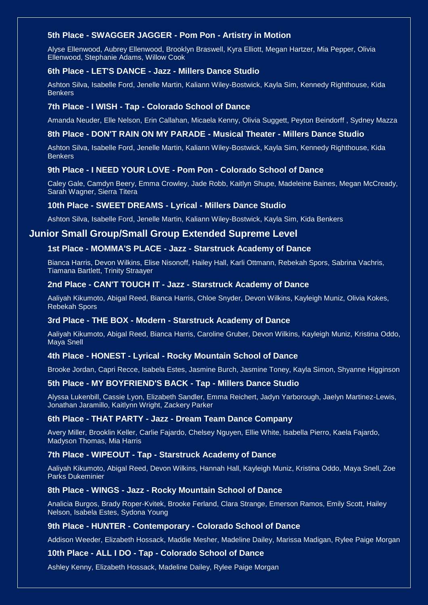#### **5th Place - SWAGGER JAGGER - Pom Pon - Artistry in Motion**

Alyse Ellenwood, Aubrey Ellenwood, Brooklyn Braswell, Kyra Elliott, Megan Hartzer, Mia Pepper, Olivia Ellenwood, Stephanie Adams, Willow Cook

#### **6th Place - LET'S DANCE - Jazz - Millers Dance Studio**

Ashton Silva, Isabelle Ford, Jenelle Martin, Kaliann Wiley-Bostwick, Kayla Sim, Kennedy Righthouse, Kida Benkers

#### **7th Place - I WISH - Tap - Colorado School of Dance**

Amanda Neuder, Elle Nelson, Erin Callahan, Micaela Kenny, Olivia Suggett, Peyton Beindorff , Sydney Mazza

#### **8th Place - DON'T RAIN ON MY PARADE - Musical Theater - Millers Dance Studio**

Ashton Silva, Isabelle Ford, Jenelle Martin, Kaliann Wiley-Bostwick, Kayla Sim, Kennedy Righthouse, Kida Benkers

#### **9th Place - I NEED YOUR LOVE - Pom Pon - Colorado School of Dance**

Caley Gale, Camdyn Beery, Emma Crowley, Jade Robb, Kaitlyn Shupe, Madeleine Baines, Megan McCready, Sarah Wagner, Sierra Titera

#### **10th Place - SWEET DREAMS - Lyrical - Millers Dance Studio**

Ashton Silva, Isabelle Ford, Jenelle Martin, Kaliann Wiley-Bostwick, Kayla Sim, Kida Benkers

### **Junior Small Group/Small Group Extended Supreme Level**

### **1st Place - MOMMA'S PLACE - Jazz - Starstruck Academy of Dance**

Bianca Harris, Devon Wilkins, Elise Nisonoff, Hailey Hall, Karli Ottmann, Rebekah Spors, Sabrina Vachris, Tiamana Bartlett, Trinity Straayer

#### **2nd Place - CAN'T TOUCH IT - Jazz - Starstruck Academy of Dance**

Aaliyah Kikumoto, Abigal Reed, Bianca Harris, Chloe Snyder, Devon Wilkins, Kayleigh Muniz, Olivia Kokes, Rebekah Spors

#### **3rd Place - THE BOX - Modern - Starstruck Academy of Dance**

Aaliyah Kikumoto, Abigal Reed, Bianca Harris, Caroline Gruber, Devon Wilkins, Kayleigh Muniz, Kristina Oddo, Maya Snell

#### **4th Place - HONEST - Lyrical - Rocky Mountain School of Dance**

Brooke Jordan, Capri Recce, Isabela Estes, Jasmine Burch, Jasmine Toney, Kayla Simon, Shyanne Higginson

#### **5th Place - MY BOYFRIEND'S BACK - Tap - Millers Dance Studio**

Alyssa Lukenbill, Cassie Lyon, Elizabeth Sandler, Emma Reichert, Jadyn Yarborough, Jaelyn Martinez-Lewis, Jonathan Jaramillo, Kaitlynn Wright, Zackery Parker

#### **6th Place - THAT PARTY - Jazz - Dream Team Dance Company**

Avery Miller, Brooklin Keller, Carlie Fajardo, Chelsey Nguyen, Ellie White, Isabella Pierro, Kaela Fajardo, Madyson Thomas, Mia Harris

#### **7th Place - WIPEOUT - Tap - Starstruck Academy of Dance**

Aaliyah Kikumoto, Abigal Reed, Devon Wilkins, Hannah Hall, Kayleigh Muniz, Kristina Oddo, Maya Snell, Zoe Parks Dukeminier

#### **8th Place - WINGS - Jazz - Rocky Mountain School of Dance**

Analicia Burgos, Brady Roper-Kvitek, Brooke Ferland, Clara Strange, Emerson Ramos, Emily Scott, Hailey Nelson, Isabela Estes, Sydona Young

#### **9th Place - HUNTER - Contemporary - Colorado School of Dance**

Addison Weeder, Elizabeth Hossack, Maddie Mesher, Madeline Dailey, Marissa Madigan, Rylee Paige Morgan

#### **10th Place - ALL I DO - Tap - Colorado School of Dance**

Ashley Kenny, Elizabeth Hossack, Madeline Dailey, Rylee Paige Morgan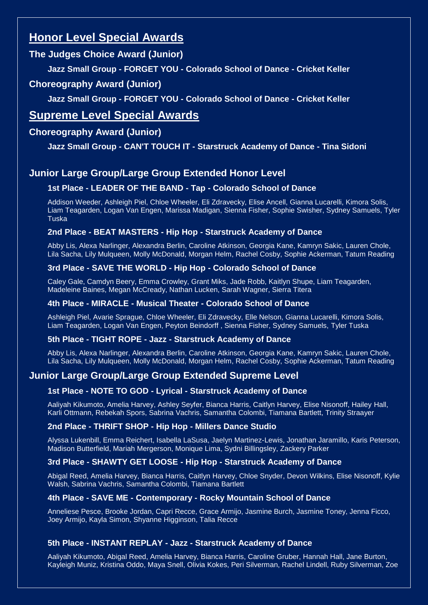# **Honor Level Special Awards**

## **The Judges Choice Award (Junior)**

**Jazz Small Group - FORGET YOU - Colorado School of Dance - Cricket Keller**

## **Choreography Award (Junior)**

**Jazz Small Group - FORGET YOU - Colorado School of Dance - Cricket Keller**

# **Supreme Level Special Awards**

## **Choreography Award (Junior)**

**Jazz Small Group - CAN'T TOUCH IT - Starstruck Academy of Dance - Tina Sidoni**

## **Junior Large Group/Large Group Extended Honor Level**

## **1st Place - LEADER OF THE BAND - Tap - Colorado School of Dance**

Addison Weeder, Ashleigh Piel, Chloe Wheeler, Eli Zdravecky, Elise Ancell, Gianna Lucarelli, Kimora Solis, Liam Teagarden, Logan Van Engen, Marissa Madigan, Sienna Fisher, Sophie Swisher, Sydney Samuels, Tyler Tuska

## **2nd Place - BEAT MASTERS - Hip Hop - Starstruck Academy of Dance**

Abby Lis, Alexa Narlinger, Alexandra Berlin, Caroline Atkinson, Georgia Kane, Kamryn Sakic, Lauren Chole, Lila Sacha, Lily Mulqueen, Molly McDonald, Morgan Helm, Rachel Cosby, Sophie Ackerman, Tatum Reading

## **3rd Place - SAVE THE WORLD - Hip Hop - Colorado School of Dance**

Caley Gale, Camdyn Beery, Emma Crowley, Grant Miks, Jade Robb, Kaitlyn Shupe, Liam Teagarden, Madeleine Baines, Megan McCready, Nathan Lucken, Sarah Wagner, Sierra Titera

## **4th Place - MIRACLE - Musical Theater - Colorado School of Dance**

Ashleigh Piel, Avarie Sprague, Chloe Wheeler, Eli Zdravecky, Elle Nelson, Gianna Lucarelli, Kimora Solis, Liam Teagarden, Logan Van Engen, Peyton Beindorff , Sienna Fisher, Sydney Samuels, Tyler Tuska

## **5th Place - TIGHT ROPE - Jazz - Starstruck Academy of Dance**

Abby Lis, Alexa Narlinger, Alexandra Berlin, Caroline Atkinson, Georgia Kane, Kamryn Sakic, Lauren Chole, Lila Sacha, Lily Mulqueen, Molly McDonald, Morgan Helm, Rachel Cosby, Sophie Ackerman, Tatum Reading

## **Junior Large Group/Large Group Extended Supreme Level**

## **1st Place - NOTE TO GOD - Lyrical - Starstruck Academy of Dance**

Aaliyah Kikumoto, Amelia Harvey, Ashley Seyfer, Bianca Harris, Caitlyn Harvey, Elise Nisonoff, Hailey Hall, Karli Ottmann, Rebekah Spors, Sabrina Vachris, Samantha Colombi, Tiamana Bartlett, Trinity Straayer

## **2nd Place - THRIFT SHOP - Hip Hop - Millers Dance Studio**

Alyssa Lukenbill, Emma Reichert, Isabella LaSusa, Jaelyn Martinez-Lewis, Jonathan Jaramillo, Karis Peterson, Madison Butterfield, Mariah Mergerson, Monique Lima, Sydni Billingsley, Zackery Parker

## **3rd Place - SHAWTY GET LOOSE - Hip Hop - Starstruck Academy of Dance**

Abigal Reed, Amelia Harvey, Bianca Harris, Caitlyn Harvey, Chloe Snyder, Devon Wilkins, Elise Nisonoff, Kylie Walsh, Sabrina Vachris, Samantha Colombi, Tiamana Bartlett

## **4th Place - SAVE ME - Contemporary - Rocky Mountain School of Dance**

Anneliese Pesce, Brooke Jordan, Capri Recce, Grace Armijo, Jasmine Burch, Jasmine Toney, Jenna Ficco, Joey Armijo, Kayla Simon, Shyanne Higginson, Talia Recce

## **5th Place - INSTANT REPLAY - Jazz - Starstruck Academy of Dance**

Aaliyah Kikumoto, Abigal Reed, Amelia Harvey, Bianca Harris, Caroline Gruber, Hannah Hall, Jane Burton, Kayleigh Muniz, Kristina Oddo, Maya Snell, Olivia Kokes, Peri Silverman, Rachel Lindell, Ruby Silverman, Zoe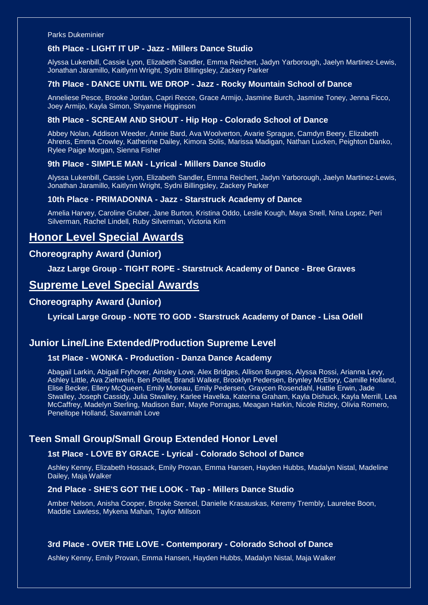Parks Dukeminier

#### **6th Place - LIGHT IT UP - Jazz - Millers Dance Studio**

Alyssa Lukenbill, Cassie Lyon, Elizabeth Sandler, Emma Reichert, Jadyn Yarborough, Jaelyn Martinez-Lewis, Jonathan Jaramillo, Kaitlynn Wright, Sydni Billingsley, Zackery Parker

#### **7th Place - DANCE UNTIL WE DROP - Jazz - Rocky Mountain School of Dance**

Anneliese Pesce, Brooke Jordan, Capri Recce, Grace Armijo, Jasmine Burch, Jasmine Toney, Jenna Ficco, Joey Armijo, Kayla Simon, Shyanne Higginson

#### **8th Place - SCREAM AND SHOUT - Hip Hop - Colorado School of Dance**

Abbey Nolan, Addison Weeder, Annie Bard, Ava Woolverton, Avarie Sprague, Camdyn Beery, Elizabeth Ahrens, Emma Crowley, Katherine Dailey, Kimora Solis, Marissa Madigan, Nathan Lucken, Peighton Danko, Rylee Paige Morgan, Sienna Fisher

#### **9th Place - SIMPLE MAN - Lyrical - Millers Dance Studio**

Alyssa Lukenbill, Cassie Lyon, Elizabeth Sandler, Emma Reichert, Jadyn Yarborough, Jaelyn Martinez-Lewis, Jonathan Jaramillo, Kaitlynn Wright, Sydni Billingsley, Zackery Parker

#### **10th Place - PRIMADONNA - Jazz - Starstruck Academy of Dance**

Amelia Harvey, Caroline Gruber, Jane Burton, Kristina Oddo, Leslie Kough, Maya Snell, Nina Lopez, Peri Silverman, Rachel Lindell, Ruby Silverman, Victoria Kim

## **Honor Level Special Awards**

### **Choreography Award (Junior)**

**Jazz Large Group - TIGHT ROPE - Starstruck Academy of Dance - Bree Graves**

## **Supreme Level Special Awards**

### **Choreography Award (Junior)**

**Lyrical Large Group - NOTE TO GOD - Starstruck Academy of Dance - Lisa Odell**

### **Junior Line/Line Extended/Production Supreme Level**

#### **1st Place - WONKA - Production - Danza Dance Academy**

Abagail Larkin, Abigail Fryhover, Ainsley Love, Alex Bridges, Allison Burgess, Alyssa Rossi, Arianna Levy, Ashley Little, Ava Ziehwein, Ben Pollet, Brandi Walker, Brooklyn Pedersen, Brynley McElory, Camille Holland, Elise Becker, Ellery McQueen, Emily Moreau, Emily Pedersen, Graycen Rosendahl, Hattie Erwin, Jade Stwalley, Joseph Cassidy, Julia Stwalley, Karlee Havelka, Katerina Graham, Kayla Dishuck, Kayla Merrill, Lea McCaffrey, Madelyn Sterling, Madison Barr, Mayte Porragas, Meagan Harkin, Nicole Rizley, Olivia Romero, Penellope Holland, Savannah Love

## **Teen Small Group/Small Group Extended Honor Level**

#### **1st Place - LOVE BY GRACE - Lyrical - Colorado School of Dance**

Ashley Kenny, Elizabeth Hossack, Emily Provan, Emma Hansen, Hayden Hubbs, Madalyn Nistal, Madeline Dailey, Maja Walker

#### **2nd Place - SHE'S GOT THE LOOK - Tap - Millers Dance Studio**

Amber Nelson, Anisha Cooper, Brooke Stencel, Danielle Krasauskas, Keremy Trembly, Laurelee Boon, Maddie Lawless, Mykena Mahan, Taylor Millson

#### **3rd Place - OVER THE LOVE - Contemporary - Colorado School of Dance**

Ashley Kenny, Emily Provan, Emma Hansen, Hayden Hubbs, Madalyn Nistal, Maja Walker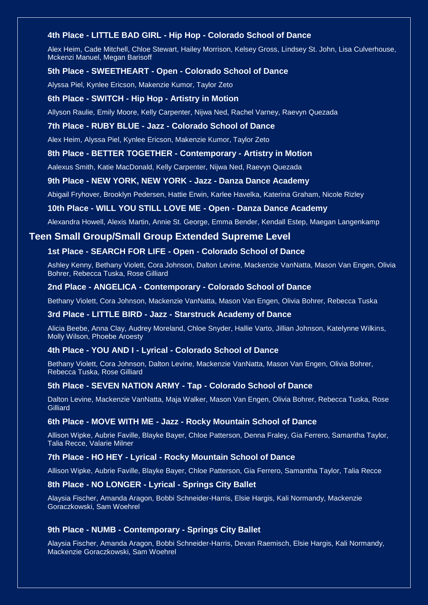#### **4th Place - LITTLE BAD GIRL - Hip Hop - Colorado School of Dance**

Alex Heim, Cade Mitchell, Chloe Stewart, Hailey Morrison, Kelsey Gross, Lindsey St. John, Lisa Culverhouse, Mckenzi Manuel, Megan Barisoff

#### **5th Place - SWEETHEART - Open - Colorado School of Dance**

Alyssa Piel, Kynlee Ericson, Makenzie Kumor, Taylor Zeto

#### **6th Place - SWITCH - Hip Hop - Artistry in Motion**

Allyson Raulie, Emily Moore, Kelly Carpenter, Nijwa Ned, Rachel Varney, Raevyn Quezada

#### **7th Place - RUBY BLUE - Jazz - Colorado School of Dance**

Alex Heim, Alyssa Piel, Kynlee Ericson, Makenzie Kumor, Taylor Zeto

#### **8th Place - BETTER TOGETHER - Contemporary - Artistry in Motion**

Aalexus Smith, Katie MacDonald, Kelly Carpenter, Nijwa Ned, Raevyn Quezada

#### **9th Place - NEW YORK, NEW YORK - Jazz - Danza Dance Academy**

Abigail Fryhover, Brooklyn Pedersen, Hattie Erwin, Karlee Havelka, Katerina Graham, Nicole Rizley

#### **10th Place - WILL YOU STILL LOVE ME - Open - Danza Dance Academy**

Alexandra Howell, Alexis Martin, Annie St. George, Emma Bender, Kendall Estep, Maegan Langenkamp

### **Teen Small Group/Small Group Extended Supreme Level**

#### **1st Place - SEARCH FOR LIFE - Open - Colorado School of Dance**

Ashley Kenny, Bethany Violett, Cora Johnson, Dalton Levine, Mackenzie VanNatta, Mason Van Engen, Olivia Bohrer, Rebecca Tuska, Rose Gilliard

#### **2nd Place - ANGELICA - Contemporary - Colorado School of Dance**

Bethany Violett, Cora Johnson, Mackenzie VanNatta, Mason Van Engen, Olivia Bohrer, Rebecca Tuska

#### **3rd Place - LITTLE BIRD - Jazz - Starstruck Academy of Dance**

Alicia Beebe, Anna Clay, Audrey Moreland, Chloe Snyder, Hallie Varto, Jillian Johnson, Katelynne Wilkins, Molly Wilson, Phoebe Aroesty

#### **4th Place - YOU AND I - Lyrical - Colorado School of Dance**

Bethany Violett, Cora Johnson, Dalton Levine, Mackenzie VanNatta, Mason Van Engen, Olivia Bohrer, Rebecca Tuska, Rose Gilliard

#### **5th Place - SEVEN NATION ARMY - Tap - Colorado School of Dance**

Dalton Levine, Mackenzie VanNatta, Maja Walker, Mason Van Engen, Olivia Bohrer, Rebecca Tuska, Rose **Gilliard** 

#### **6th Place - MOVE WITH ME - Jazz - Rocky Mountain School of Dance**

Allison Wipke, Aubrie Faville, Blayke Bayer, Chloe Patterson, Denna Fraley, Gia Ferrero, Samantha Taylor, Talia Recce, Valarie Milner

#### **7th Place - HO HEY - Lyrical - Rocky Mountain School of Dance**

Allison Wipke, Aubrie Faville, Blayke Bayer, Chloe Patterson, Gia Ferrero, Samantha Taylor, Talia Recce

#### **8th Place - NO LONGER - Lyrical - Springs City Ballet**

Alaysia Fischer, Amanda Aragon, Bobbi Schneider-Harris, Elsie Hargis, Kali Normandy, Mackenzie Goraczkowski, Sam Woehrel

#### **9th Place - NUMB - Contemporary - Springs City Ballet**

Alaysia Fischer, Amanda Aragon, Bobbi Schneider-Harris, Devan Raemisch, Elsie Hargis, Kali Normandy, Mackenzie Goraczkowski, Sam Woehrel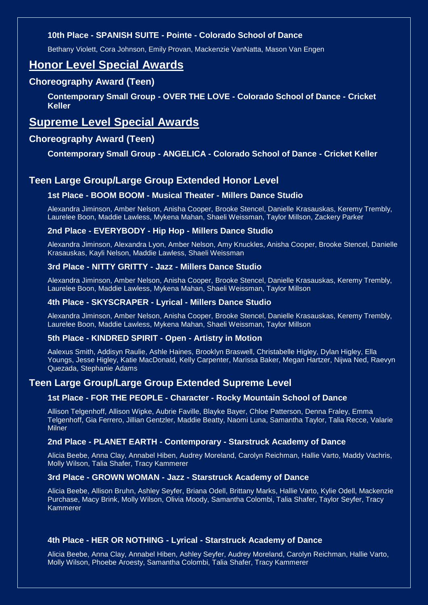### **10th Place - SPANISH SUITE - Pointe - Colorado School of Dance**

Bethany Violett, Cora Johnson, Emily Provan, Mackenzie VanNatta, Mason Van Engen

## **Honor Level Special Awards**

### **Choreography Award (Teen)**

**Contemporary Small Group - OVER THE LOVE - Colorado School of Dance - Cricket Keller**

## **Supreme Level Special Awards**

### **Choreography Award (Teen)**

#### **Contemporary Small Group - ANGELICA - Colorado School of Dance - Cricket Keller**

## **Teen Large Group/Large Group Extended Honor Level**

#### **1st Place - BOOM BOOM - Musical Theater - Millers Dance Studio**

Alexandra Jiminson, Amber Nelson, Anisha Cooper, Brooke Stencel, Danielle Krasauskas, Keremy Trembly, Laurelee Boon, Maddie Lawless, Mykena Mahan, Shaeli Weissman, Taylor Millson, Zackery Parker

#### **2nd Place - EVERYBODY - Hip Hop - Millers Dance Studio**

Alexandra Jiminson, Alexandra Lyon, Amber Nelson, Amy Knuckles, Anisha Cooper, Brooke Stencel, Danielle Krasauskas, Kayli Nelson, Maddie Lawless, Shaeli Weissman

#### **3rd Place - NITTY GRITTY - Jazz - Millers Dance Studio**

Alexandra Jiminson, Amber Nelson, Anisha Cooper, Brooke Stencel, Danielle Krasauskas, Keremy Trembly, Laurelee Boon, Maddie Lawless, Mykena Mahan, Shaeli Weissman, Taylor Millson

#### **4th Place - SKYSCRAPER - Lyrical - Millers Dance Studio**

Alexandra Jiminson, Amber Nelson, Anisha Cooper, Brooke Stencel, Danielle Krasauskas, Keremy Trembly, Laurelee Boon, Maddie Lawless, Mykena Mahan, Shaeli Weissman, Taylor Millson

#### **5th Place - KINDRED SPIRIT - Open - Artistry in Motion**

Aalexus Smith, Addisyn Raulie, Ashle Haines, Brooklyn Braswell, Christabelle Higley, Dylan Higley, Ella Youngs, Jesse Higley, Katie MacDonald, Kelly Carpenter, Marissa Baker, Megan Hartzer, Nijwa Ned, Raevyn Quezada, Stephanie Adams

### **Teen Large Group/Large Group Extended Supreme Level**

#### **1st Place - FOR THE PEOPLE - Character - Rocky Mountain School of Dance**

Allison Telgenhoff, Allison Wipke, Aubrie Faville, Blayke Bayer, Chloe Patterson, Denna Fraley, Emma Telgenhoff, Gia Ferrero, Jillian Gentzler, Maddie Beatty, Naomi Luna, Samantha Taylor, Talia Recce, Valarie **Milner** 

#### **2nd Place - PLANET EARTH - Contemporary - Starstruck Academy of Dance**

Alicia Beebe, Anna Clay, Annabel Hiben, Audrey Moreland, Carolyn Reichman, Hallie Varto, Maddy Vachris, Molly Wilson, Talia Shafer, Tracy Kammerer

#### **3rd Place - GROWN WOMAN - Jazz - Starstruck Academy of Dance**

Alicia Beebe, Allison Bruhn, Ashley Seyfer, Briana Odell, Brittany Marks, Hallie Varto, Kylie Odell, Mackenzie Purchase, Macy Brink, Molly Wilson, Olivia Moody, Samantha Colombi, Talia Shafer, Taylor Seyfer, Tracy Kammerer

#### **4th Place - HER OR NOTHING - Lyrical - Starstruck Academy of Dance**

Alicia Beebe, Anna Clay, Annabel Hiben, Ashley Seyfer, Audrey Moreland, Carolyn Reichman, Hallie Varto, Molly Wilson, Phoebe Aroesty, Samantha Colombi, Talia Shafer, Tracy Kammerer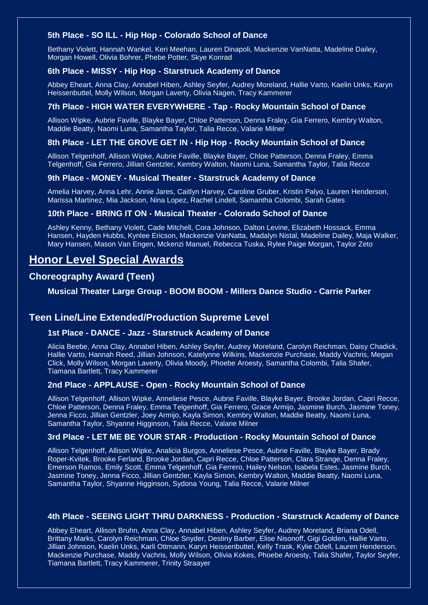#### **5th Place - SO ILL - Hip Hop - Colorado School of Dance**

Bethany Violett, Hannah Wankel, Keri Meehan, Lauren Dinapoli, Mackenzie VanNatta, Madeline Dailey, Morgan Howell, Olivia Bohrer, Phebe Potter, Skye Konrad

#### **6th Place - MISSY - Hip Hop - Starstruck Academy of Dance**

Abbey Eheart, Anna Clay, Annabel Hiben, Ashley Seyfer, Audrey Moreland, Hallie Varto, Kaelin Unks, Karyn Heissenbuttel, Molly Wilson, Morgan Laverty, Olivia Nagen, Tracy Kammerer

#### **7th Place - HIGH WATER EVERYWHERE - Tap - Rocky Mountain School of Dance**

Allison Wipke, Aubrie Faville, Blayke Bayer, Chloe Patterson, Denna Fraley, Gia Ferrero, Kembry Walton, Maddie Beatty, Naomi Luna, Samantha Taylor, Talia Recce, Valarie Milner

#### **8th Place - LET THE GROVE GET IN - Hip Hop - Rocky Mountain School of Dance**

Allison Telgenhoff, Allison Wipke, Aubrie Faville, Blayke Bayer, Chloe Patterson, Denna Fraley, Emma Telgenhoff, Gia Ferrero, Jillian Gentzler, Kembry Walton, Naomi Luna, Samantha Taylor, Talia Recce

#### **9th Place - MONEY - Musical Theater - Starstruck Academy of Dance**

Amelia Harvey, Anna Lehr, Annie Jares, Caitlyn Harvey, Caroline Gruber, Kristin Palyo, Lauren Henderson, Marissa Martinez, Mia Jackson, Nina Lopez, Rachel Lindell, Samantha Colombi, Sarah Gates

#### **10th Place - BRING IT ON - Musical Theater - Colorado School of Dance**

Ashley Kenny, Bethany Violett, Cade Mitchell, Cora Johnson, Dalton Levine, Elizabeth Hossack, Emma Hansen, Hayden Hubbs, Kynlee Ericson, Mackenzie VanNatta, Madalyn Nistal, Madeline Dailey, Maja Walker, Mary Hansen, Mason Van Engen, Mckenzi Manuel, Rebecca Tuska, Rylee Paige Morgan, Taylor Zeto

## **Honor Level Special Awards**

### **Choreography Award (Teen)**

**Musical Theater Large Group - BOOM BOOM - Millers Dance Studio - Carrie Parker**

### **Teen Line/Line Extended/Production Supreme Level**

#### **1st Place - DANCE - Jazz - Starstruck Academy of Dance**

Alicia Beebe, Anna Clay, Annabel Hiben, Ashley Seyfer, Audrey Moreland, Carolyn Reichman, Daisy Chadick, Hallie Varto, Hannah Reed, Jillian Johnson, Katelynne Wilkins, Mackenzie Purchase, Maddy Vachris, Megan Click, Molly Wilson, Morgan Laverty, Olivia Moody, Phoebe Aroesty, Samantha Colombi, Talia Shafer, Tiamana Bartlett, Tracy Kammerer

#### **2nd Place - APPLAUSE - Open - Rocky Mountain School of Dance**

Allison Telgenhoff, Allison Wipke, Anneliese Pesce, Aubrie Faville, Blayke Bayer, Brooke Jordan, Capri Recce, Chloe Patterson, Denna Fraley, Emma Telgenhoff, Gia Ferrero, Grace Armijo, Jasmine Burch, Jasmine Toney, Jenna Ficco, Jillian Gentzler, Joey Armijo, Kayla Simon, Kembry Walton, Maddie Beatty, Naomi Luna, Samantha Taylor, Shyanne Higginson, Talia Recce, Valarie Milner

#### **3rd Place - LET ME BE YOUR STAR - Production - Rocky Mountain School of Dance**

Allison Telgenhoff, Allison Wipke, Analicia Burgos, Anneliese Pesce, Aubrie Faville, Blayke Bayer, Brady Roper-Kvitek, Brooke Ferland, Brooke Jordan, Capri Recce, Chloe Patterson, Clara Strange, Denna Fraley, Emerson Ramos, Emily Scott, Emma Telgenhoff, Gia Ferrero, Hailey Nelson, Isabela Estes, Jasmine Burch, Jasmine Toney, Jenna Ficco, Jillian Gentzler, Kayla Simon, Kembry Walton, Maddie Beatty, Naomi Luna, Samantha Taylor, Shyanne Higginson, Sydona Young, Talia Recce, Valarie Milner

#### **4th Place - SEEING LIGHT THRU DARKNESS - Production - Starstruck Academy of Dance**

Abbey Eheart, Allison Bruhn, Anna Clay, Annabel Hiben, Ashley Seyfer, Audrey Moreland, Briana Odell, Brittany Marks, Carolyn Reichman, Chloe Snyder, Destiny Barber, Elise Nisonoff, Gigi Golden, Hallie Varto, Jillian Johnson, Kaelin Unks, Karli Ottmann, Karyn Heissenbuttel, Kelly Trask, Kylie Odell, Lauren Henderson, Mackenzie Purchase, Maddy Vachris, Molly Wilson, Olivia Kokes, Phoebe Aroesty, Talia Shafer, Taylor Seyfer, Tiamana Bartlett, Tracy Kammerer, Trinity Straayer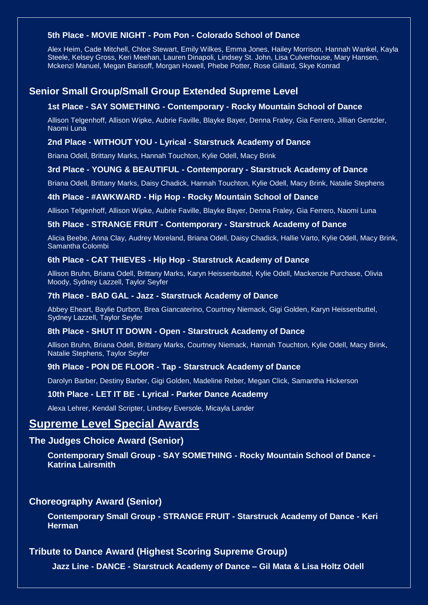### **5th Place - MOVIE NIGHT - Pom Pon - Colorado School of Dance**

Alex Heim, Cade Mitchell, Chloe Stewart, Emily Wilkes, Emma Jones, Hailey Morrison, Hannah Wankel, Kayla Steele, Kelsey Gross, Keri Meehan, Lauren Dinapoli, Lindsey St. John, Lisa Culverhouse, Mary Hansen, Mckenzi Manuel, Megan Barisoff, Morgan Howell, Phebe Potter, Rose Gilliard, Skye Konrad

## **Senior Small Group/Small Group Extended Supreme Level**

#### **1st Place - SAY SOMETHING - Contemporary - Rocky Mountain School of Dance**

Allison Telgenhoff, Allison Wipke, Aubrie Faville, Blayke Bayer, Denna Fraley, Gia Ferrero, Jillian Gentzler, Naomi Luna

#### **2nd Place - WITHOUT YOU - Lyrical - Starstruck Academy of Dance**

Briana Odell, Brittany Marks, Hannah Touchton, Kylie Odell, Macy Brink

#### **3rd Place - YOUNG & BEAUTIFUL - Contemporary - Starstruck Academy of Dance**

Briana Odell, Brittany Marks, Daisy Chadick, Hannah Touchton, Kylie Odell, Macy Brink, Natalie Stephens

#### **4th Place - #AWKWARD - Hip Hop - Rocky Mountain School of Dance**

Allison Telgenhoff, Allison Wipke, Aubrie Faville, Blayke Bayer, Denna Fraley, Gia Ferrero, Naomi Luna

#### **5th Place - STRANGE FRUIT - Contemporary - Starstruck Academy of Dance**

Alicia Beebe, Anna Clay, Audrey Moreland, Briana Odell, Daisy Chadick, Hallie Varto, Kylie Odell, Macy Brink, Samantha Colombi

#### **6th Place - CAT THIEVES - Hip Hop - Starstruck Academy of Dance**

Allison Bruhn, Briana Odell, Brittany Marks, Karyn Heissenbuttel, Kylie Odell, Mackenzie Purchase, Olivia Moody, Sydney Lazzell, Taylor Seyfer

#### **7th Place - BAD GAL - Jazz - Starstruck Academy of Dance**

Abbey Eheart, Baylie Durbon, Brea Giancaterino, Courtney Niemack, Gigi Golden, Karyn Heissenbuttel, Sydney Lazzell, Taylor Seyfer

#### **8th Place - SHUT IT DOWN - Open - Starstruck Academy of Dance**

Allison Bruhn, Briana Odell, Brittany Marks, Courtney Niemack, Hannah Touchton, Kylie Odell, Macy Brink, Natalie Stephens, Taylor Seyfer

#### **9th Place - PON DE FLOOR - Tap - Starstruck Academy of Dance**

Darolyn Barber, Destiny Barber, Gigi Golden, Madeline Reber, Megan Click, Samantha Hickerson

#### **10th Place - LET IT BE - Lyrical - Parker Dance Academy**

Alexa Lehrer, Kendall Scripter, Lindsey Eversole, Micayla Lander

## **Supreme Level Special Awards**

### **The Judges Choice Award (Senior)**

**Contemporary Small Group - SAY SOMETHING - Rocky Mountain School of Dance - Katrina Lairsmith**

### **Choreography Award (Senior)**

**Contemporary Small Group - STRANGE FRUIT - Starstruck Academy of Dance - Keri Herman**

### **Tribute to Dance Award (Highest Scoring Supreme Group)**

 **Jazz Line - DANCE - Starstruck Academy of Dance – Gil Mata & Lisa Holtz Odell**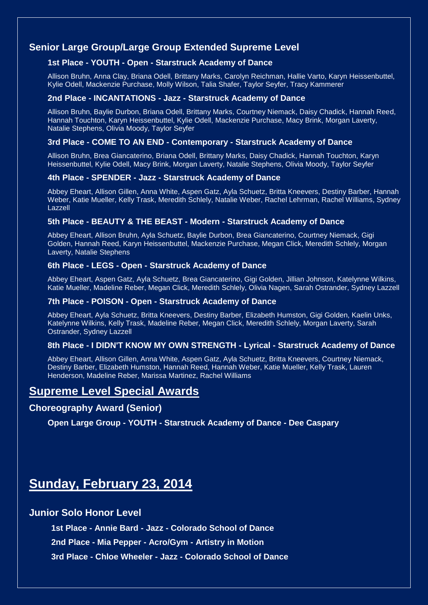## **Senior Large Group/Large Group Extended Supreme Level**

#### **1st Place - YOUTH - Open - Starstruck Academy of Dance**

Allison Bruhn, Anna Clay, Briana Odell, Brittany Marks, Carolyn Reichman, Hallie Varto, Karyn Heissenbuttel, Kylie Odell, Mackenzie Purchase, Molly Wilson, Talia Shafer, Taylor Seyfer, Tracy Kammerer

#### **2nd Place - INCANTATIONS - Jazz - Starstruck Academy of Dance**

Allison Bruhn, Baylie Durbon, Briana Odell, Brittany Marks, Courtney Niemack, Daisy Chadick, Hannah Reed, Hannah Touchton, Karyn Heissenbuttel, Kylie Odell, Mackenzie Purchase, Macy Brink, Morgan Laverty, Natalie Stephens, Olivia Moody, Taylor Seyfer

#### **3rd Place - COME TO AN END - Contemporary - Starstruck Academy of Dance**

Allison Bruhn, Brea Giancaterino, Briana Odell, Brittany Marks, Daisy Chadick, Hannah Touchton, Karyn Heissenbuttel, Kylie Odell, Macy Brink, Morgan Laverty, Natalie Stephens, Olivia Moody, Taylor Seyfer

#### **4th Place - SPENDER - Jazz - Starstruck Academy of Dance**

Abbey Eheart, Allison Gillen, Anna White, Aspen Gatz, Ayla Schuetz, Britta Kneevers, Destiny Barber, Hannah Weber, Katie Mueller, Kelly Trask, Meredith Schlely, Natalie Weber, Rachel Lehrman, Rachel Williams, Sydney Lazzell

#### **5th Place - BEAUTY & THE BEAST - Modern - Starstruck Academy of Dance**

Abbey Eheart, Allison Bruhn, Ayla Schuetz, Baylie Durbon, Brea Giancaterino, Courtney Niemack, Gigi Golden, Hannah Reed, Karyn Heissenbuttel, Mackenzie Purchase, Megan Click, Meredith Schlely, Morgan Laverty, Natalie Stephens

#### **6th Place - LEGS - Open - Starstruck Academy of Dance**

Abbey Eheart, Aspen Gatz, Ayla Schuetz, Brea Giancaterino, Gigi Golden, Jillian Johnson, Katelynne Wilkins, Katie Mueller, Madeline Reber, Megan Click, Meredith Schlely, Olivia Nagen, Sarah Ostrander, Sydney Lazzell

#### **7th Place - POISON - Open - Starstruck Academy of Dance**

Abbey Eheart, Ayla Schuetz, Britta Kneevers, Destiny Barber, Elizabeth Humston, Gigi Golden, Kaelin Unks, Katelynne Wilkins, Kelly Trask, Madeline Reber, Megan Click, Meredith Schlely, Morgan Laverty, Sarah Ostrander, Sydney Lazzell

#### **8th Place - I DIDN'T KNOW MY OWN STRENGTH - Lyrical - Starstruck Academy of Dance**

Abbey Eheart, Allison Gillen, Anna White, Aspen Gatz, Ayla Schuetz, Britta Kneevers, Courtney Niemack, Destiny Barber, Elizabeth Humston, Hannah Reed, Hannah Weber, Katie Mueller, Kelly Trask, Lauren Henderson, Madeline Reber, Marissa Martinez, Rachel Williams

## **Supreme Level Special Awards**

#### **Choreography Award (Senior)**

**Open Large Group - YOUTH - Starstruck Academy of Dance - Dee Caspary**

# **Sunday, February 23, 2014**

#### **Junior Solo Honor Level**

**1st Place - Annie Bard - Jazz - Colorado School of Dance**

**2nd Place - Mia Pepper - Acro/Gym - Artistry in Motion**

**3rd Place - Chloe Wheeler - Jazz - Colorado School of Dance**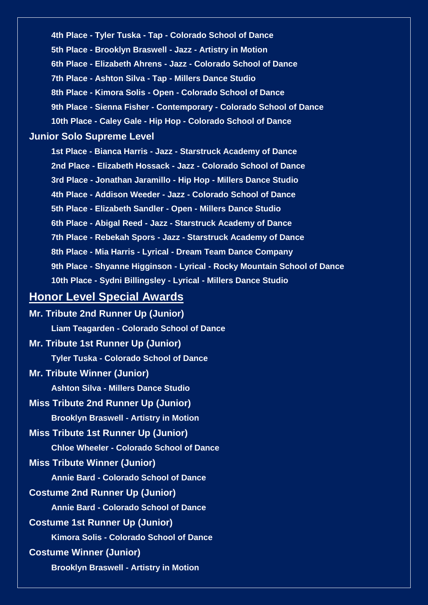**4th Place - Tyler Tuska - Tap - Colorado School of Dance 5th Place - Brooklyn Braswell - Jazz - Artistry in Motion 6th Place - Elizabeth Ahrens - Jazz - Colorado School of Dance 7th Place - Ashton Silva - Tap - Millers Dance Studio 8th Place - Kimora Solis - Open - Colorado School of Dance 9th Place - Sienna Fisher - Contemporary - Colorado School of Dance 10th Place - Caley Gale - Hip Hop - Colorado School of Dance**

### **Junior Solo Supreme Level**

**1st Place - Bianca Harris - Jazz - Starstruck Academy of Dance 2nd Place - Elizabeth Hossack - Jazz - Colorado School of Dance 3rd Place - Jonathan Jaramillo - Hip Hop - Millers Dance Studio 4th Place - Addison Weeder - Jazz - Colorado School of Dance 5th Place - Elizabeth Sandler - Open - Millers Dance Studio 6th Place - Abigal Reed - Jazz - Starstruck Academy of Dance 7th Place - Rebekah Spors - Jazz - Starstruck Academy of Dance 8th Place - Mia Harris - Lyrical - Dream Team Dance Company 9th Place - Shyanne Higginson - Lyrical - Rocky Mountain School of Dance 10th Place - Sydni Billingsley - Lyrical - Millers Dance Studio**

## **Honor Level Special Awards**

**Mr. Tribute 2nd Runner Up (Junior) Liam Teagarden - Colorado School of Dance Mr. Tribute 1st Runner Up (Junior) Tyler Tuska - Colorado School of Dance Mr. Tribute Winner (Junior) Ashton Silva - Millers Dance Studio Miss Tribute 2nd Runner Up (Junior) Brooklyn Braswell - Artistry in Motion Miss Tribute 1st Runner Up (Junior) Chloe Wheeler - Colorado School of Dance Miss Tribute Winner (Junior) Annie Bard - Colorado School of Dance Costume 2nd Runner Up (Junior) Annie Bard - Colorado School of Dance Costume 1st Runner Up (Junior) Kimora Solis - Colorado School of Dance Costume Winner (Junior) Brooklyn Braswell - Artistry in Motion**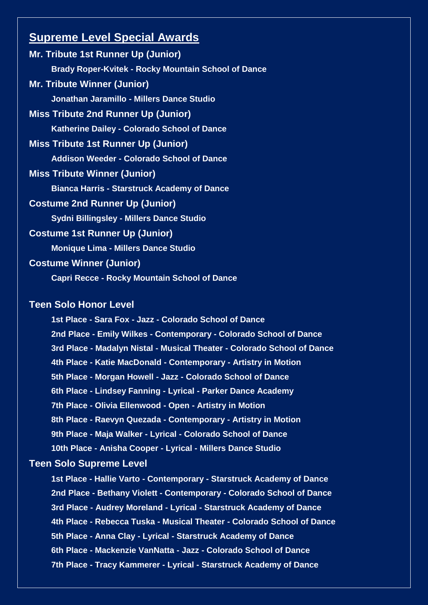## **Supreme Level Special Awards**

**Mr. Tribute 1st Runner Up (Junior) Brady Roper-Kvitek - Rocky Mountain School of Dance Mr. Tribute Winner (Junior) Jonathan Jaramillo - Millers Dance Studio Miss Tribute 2nd Runner Up (Junior) Katherine Dailey - Colorado School of Dance Miss Tribute 1st Runner Up (Junior) Addison Weeder - Colorado School of Dance Miss Tribute Winner (Junior) Bianca Harris - Starstruck Academy of Dance Costume 2nd Runner Up (Junior) Sydni Billingsley - Millers Dance Studio Costume 1st Runner Up (Junior) Monique Lima - Millers Dance Studio Costume Winner (Junior) Capri Recce - Rocky Mountain School of Dance**

## **Teen Solo Honor Level**

**1st Place - Sara Fox - Jazz - Colorado School of Dance 2nd Place - Emily Wilkes - Contemporary - Colorado School of Dance 3rd Place - Madalyn Nistal - Musical Theater - Colorado School of Dance 4th Place - Katie MacDonald - Contemporary - Artistry in Motion 5th Place - Morgan Howell - Jazz - Colorado School of Dance 6th Place - Lindsey Fanning - Lyrical - Parker Dance Academy 7th Place - Olivia Ellenwood - Open - Artistry in Motion 8th Place - Raevyn Quezada - Contemporary - Artistry in Motion 9th Place - Maja Walker - Lyrical - Colorado School of Dance 10th Place - Anisha Cooper - Lyrical - Millers Dance Studio**

### **Teen Solo Supreme Level**

**1st Place - Hallie Varto - Contemporary - Starstruck Academy of Dance 2nd Place - Bethany Violett - Contemporary - Colorado School of Dance 3rd Place - Audrey Moreland - Lyrical - Starstruck Academy of Dance 4th Place - Rebecca Tuska - Musical Theater - Colorado School of Dance 5th Place - Anna Clay - Lyrical - Starstruck Academy of Dance 6th Place - Mackenzie VanNatta - Jazz - Colorado School of Dance 7th Place - Tracy Kammerer - Lyrical - Starstruck Academy of Dance**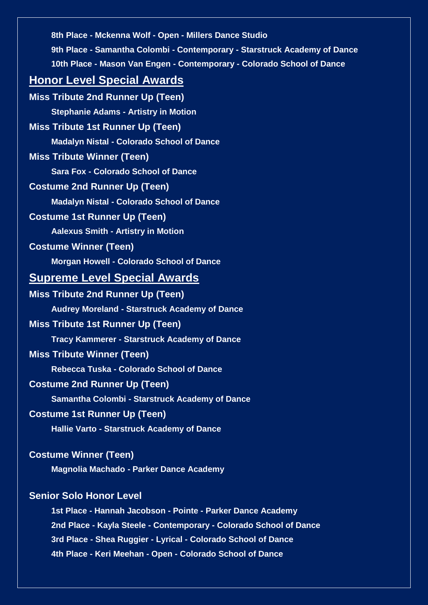| 8th Place - Mckenna Wolf - Open - Millers Dance Studio                    |
|---------------------------------------------------------------------------|
| 9th Place - Samantha Colombi - Contemporary - Starstruck Academy of Dance |
| 10th Place - Mason Van Engen - Contemporary - Colorado School of Dance    |
| <b>Honor Level Special Awards</b>                                         |
| <b>Miss Tribute 2nd Runner Up (Teen)</b>                                  |
| <b>Stephanie Adams - Artistry in Motion</b>                               |
| <b>Miss Tribute 1st Runner Up (Teen)</b>                                  |
| <b>Madalyn Nistal - Colorado School of Dance</b>                          |
| <b>Miss Tribute Winner (Teen)</b>                                         |
| <b>Sara Fox - Colorado School of Dance</b>                                |
| <b>Costume 2nd Runner Up (Teen)</b>                                       |
| <b>Madalyn Nistal - Colorado School of Dance</b>                          |
| <b>Costume 1st Runner Up (Teen)</b>                                       |
| <b>Aalexus Smith - Artistry in Motion</b>                                 |
| <b>Costume Winner (Teen)</b>                                              |
| <b>Morgan Howell - Colorado School of Dance</b>                           |
| <b>Supreme Level Special Awards</b>                                       |
| <b>Miss Tribute 2nd Runner Up (Teen)</b>                                  |
| <b>Audrey Moreland - Starstruck Academy of Dance</b>                      |
| <b>Miss Tribute 1st Runner Up (Teen)</b>                                  |
| <b>Tracy Kammerer - Starstruck Academy of Dance</b>                       |
| <b>Miss Tribute Winner (Teen)</b>                                         |
| Rebecca Tuska - Colorado School of Dance                                  |
| <b>Costume 2nd Runner Up (Teen)</b>                                       |
| Samantha Colombi - Starstruck Academy of Dance                            |
| <b>Costume 1st Runner Up (Teen)</b>                                       |
| Hallie Varto - Starstruck Academy of Dance                                |
| <b>Costume Winner (Teen)</b>                                              |
| <b>Magnolia Machado - Parker Dance Academy</b>                            |
| <b>Senior Solo Honor Level</b>                                            |
| 1st Place - Hannah Jacobson - Pointe - Parker Dance Academy               |
| 2nd Place - Kayla Steele - Contemporary - Colorado School of Dance        |
| 3rd Place - Shea Ruggier - Lyrical - Colorado School of Dance             |
| 4th Place - Keri Meehan - Open - Colorado School of Dance                 |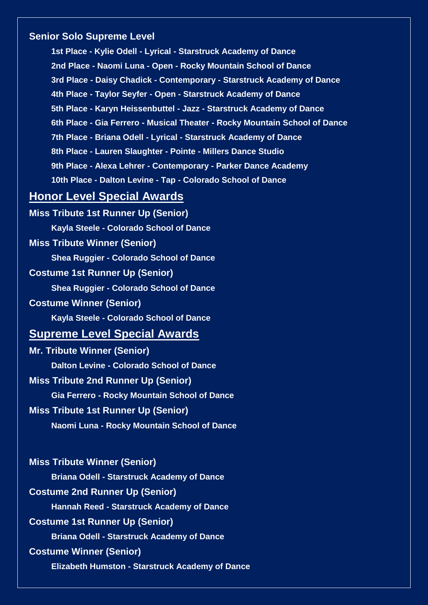### **Senior Solo Supreme Level**

**1st Place - Kylie Odell - Lyrical - Starstruck Academy of Dance 2nd Place - Naomi Luna - Open - Rocky Mountain School of Dance 3rd Place - Daisy Chadick - Contemporary - Starstruck Academy of Dance 4th Place - Taylor Seyfer - Open - Starstruck Academy of Dance 5th Place - Karyn Heissenbuttel - Jazz - Starstruck Academy of Dance 6th Place - Gia Ferrero - Musical Theater - Rocky Mountain School of Dance 7th Place - Briana Odell - Lyrical - Starstruck Academy of Dance 8th Place - Lauren Slaughter - Pointe - Millers Dance Studio 9th Place - Alexa Lehrer - Contemporary - Parker Dance Academy 10th Place - Dalton Levine - Tap - Colorado School of Dance**

## **Honor Level Special Awards**

**Miss Tribute 1st Runner Up (Senior) Kayla Steele - Colorado School of Dance Miss Tribute Winner (Senior) Shea Ruggier - Colorado School of Dance Costume 1st Runner Up (Senior) Shea Ruggier - Colorado School of Dance Costume Winner (Senior) Kayla Steele - Colorado School of Dance Supreme Level Special Awards Mr. Tribute Winner (Senior) Dalton Levine - Colorado School of Dance Miss Tribute 2nd Runner Up (Senior) Gia Ferrero - Rocky Mountain School of Dance Miss Tribute 1st Runner Up (Senior) Naomi Luna - Rocky Mountain School of Dance**

**Miss Tribute Winner (Senior) Briana Odell - Starstruck Academy of Dance Costume 2nd Runner Up (Senior) Hannah Reed - Starstruck Academy of Dance Costume 1st Runner Up (Senior) Briana Odell - Starstruck Academy of Dance Costume Winner (Senior) Elizabeth Humston - Starstruck Academy of Dance**